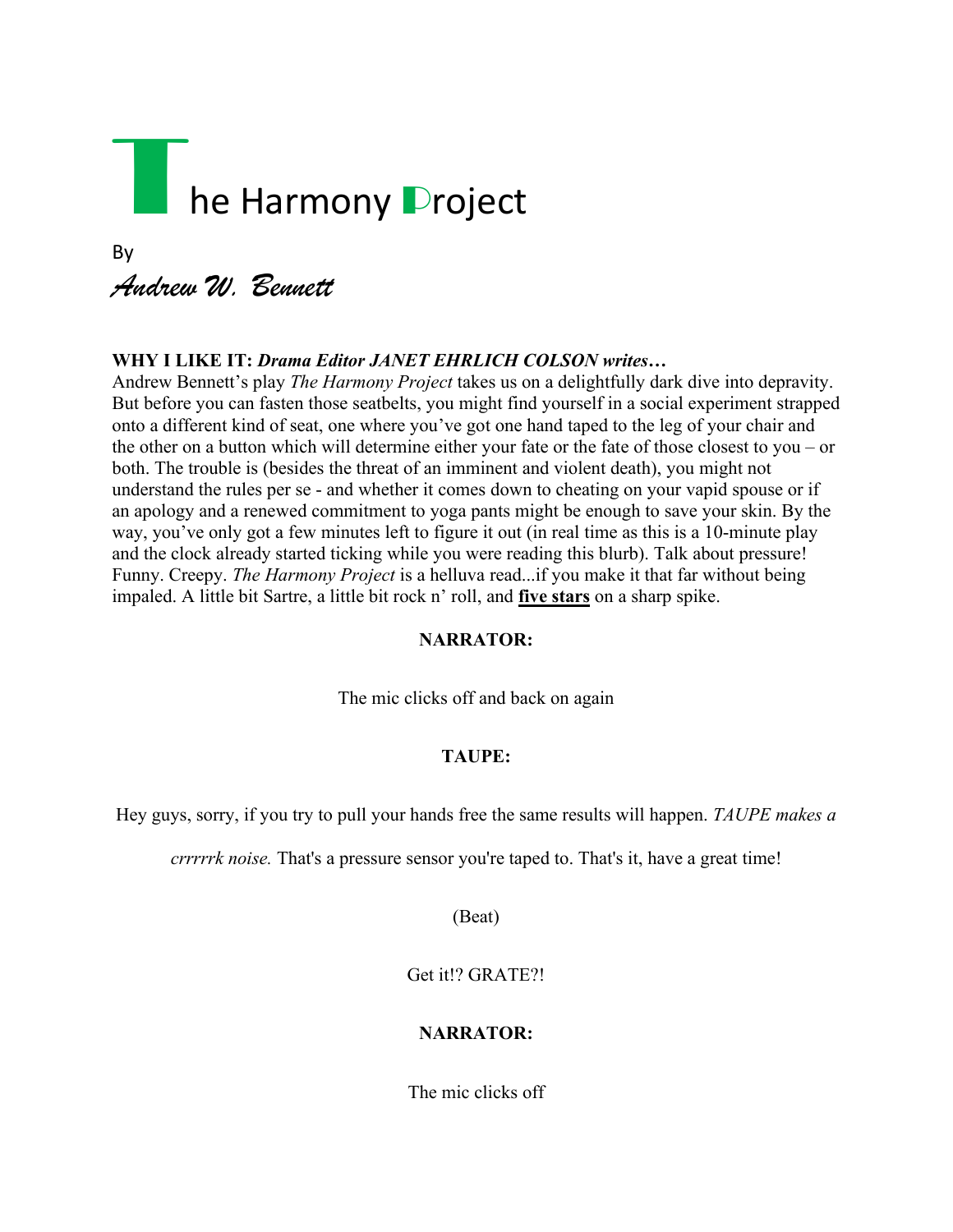# The Harmony Project

# By *Andrew W. Bennett*

# **WHY I LIKE IT:** *Drama Editor JANET EHRLICH COLSON writes…*

Andrew Bennett's play *The Harmony Project* takes us on a delightfully dark dive into depravity. But before you can fasten those seatbelts, you might find yourself in a social experiment strapped onto a different kind of seat, one where you've got one hand taped to the leg of your chair and the other on a button which will determine either your fate or the fate of those closest to you – or both. The trouble is (besides the threat of an imminent and violent death), you might not understand the rules per se - and whether it comes down to cheating on your vapid spouse or if an apology and a renewed commitment to yoga pants might be enough to save your skin. By the way, you've only got a few minutes left to figure it out (in real time as this is a 10-minute play and the clock already started ticking while you were reading this blurb). Talk about pressure! Funny. Creepy. *The Harmony Project* is a helluva read...if you make it that far without being impaled. A little bit Sartre, a little bit rock n' roll, and **five stars** on a sharp spike.

### **NARRATOR:**

The mic clicks off and back on again

### **TAUPE:**

Hey guys, sorry, if you try to pull your hands free the same results will happen. *TAUPE makes a*

*crrrrrk noise.* That's a pressure sensor you're taped to. That's it, have a great time!

(Beat)

Get it!? GRATE?!

### **NARRATOR:**

The mic clicks off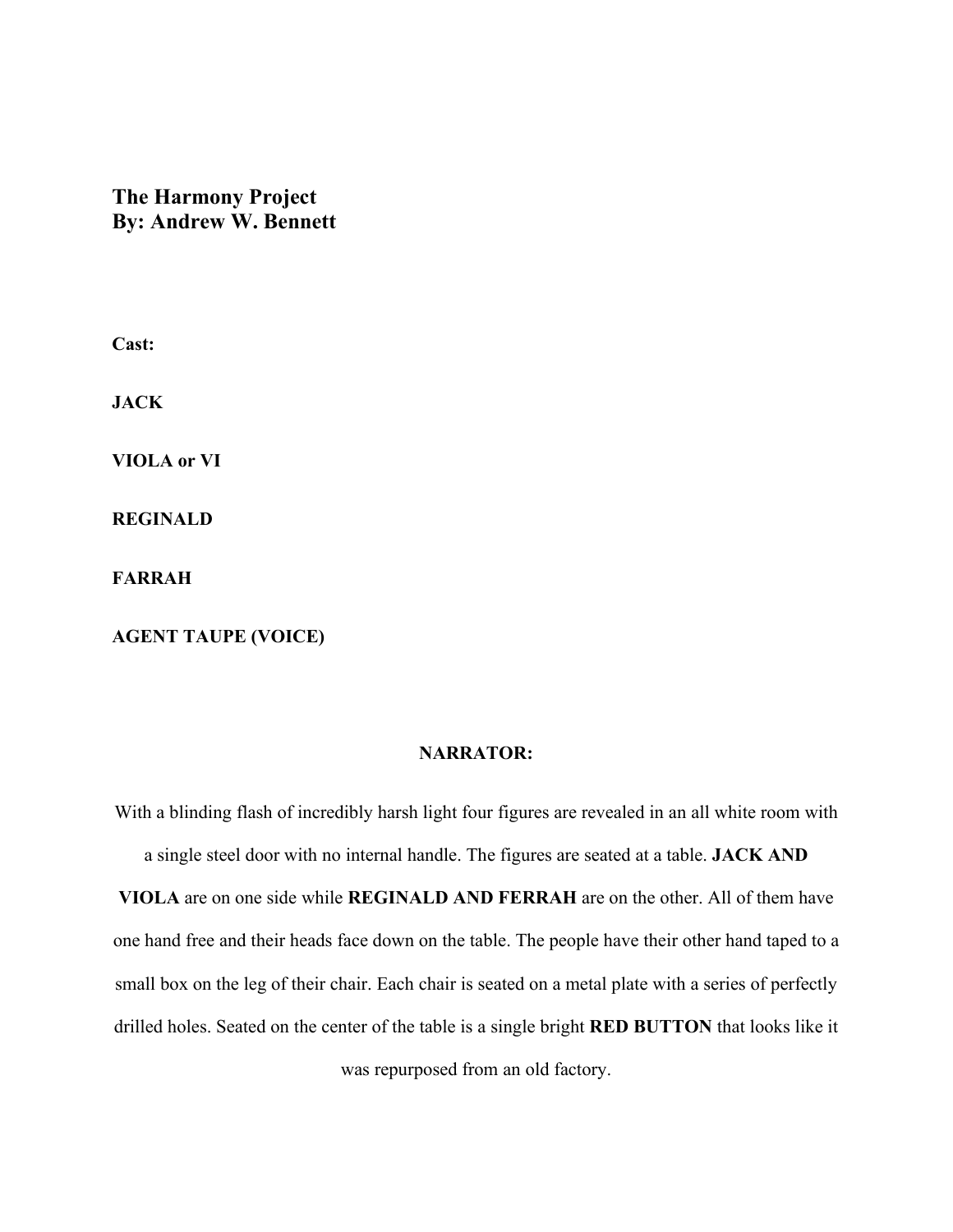# **The Harmony Project By: Andrew W. Bennett**

**Cast:**

**JACK**

**VIOLA or VI**

**REGINALD**

**FARRAH**

**AGENT TAUPE (VOICE)**

# **NARRATOR:**

With a blinding flash of incredibly harsh light four figures are revealed in an all white room with a single steel door with no internal handle. The figures are seated at a table. **JACK AND VIOLA** are on one side while **REGINALD AND FERRAH** are on the other. All of them have one hand free and their heads face down on the table. The people have their other hand taped to a small box on the leg of their chair. Each chair is seated on a metal plate with a series of perfectly drilled holes. Seated on the center of the table is a single bright **RED BUTTON** that looks like it

was repurposed from an old factory.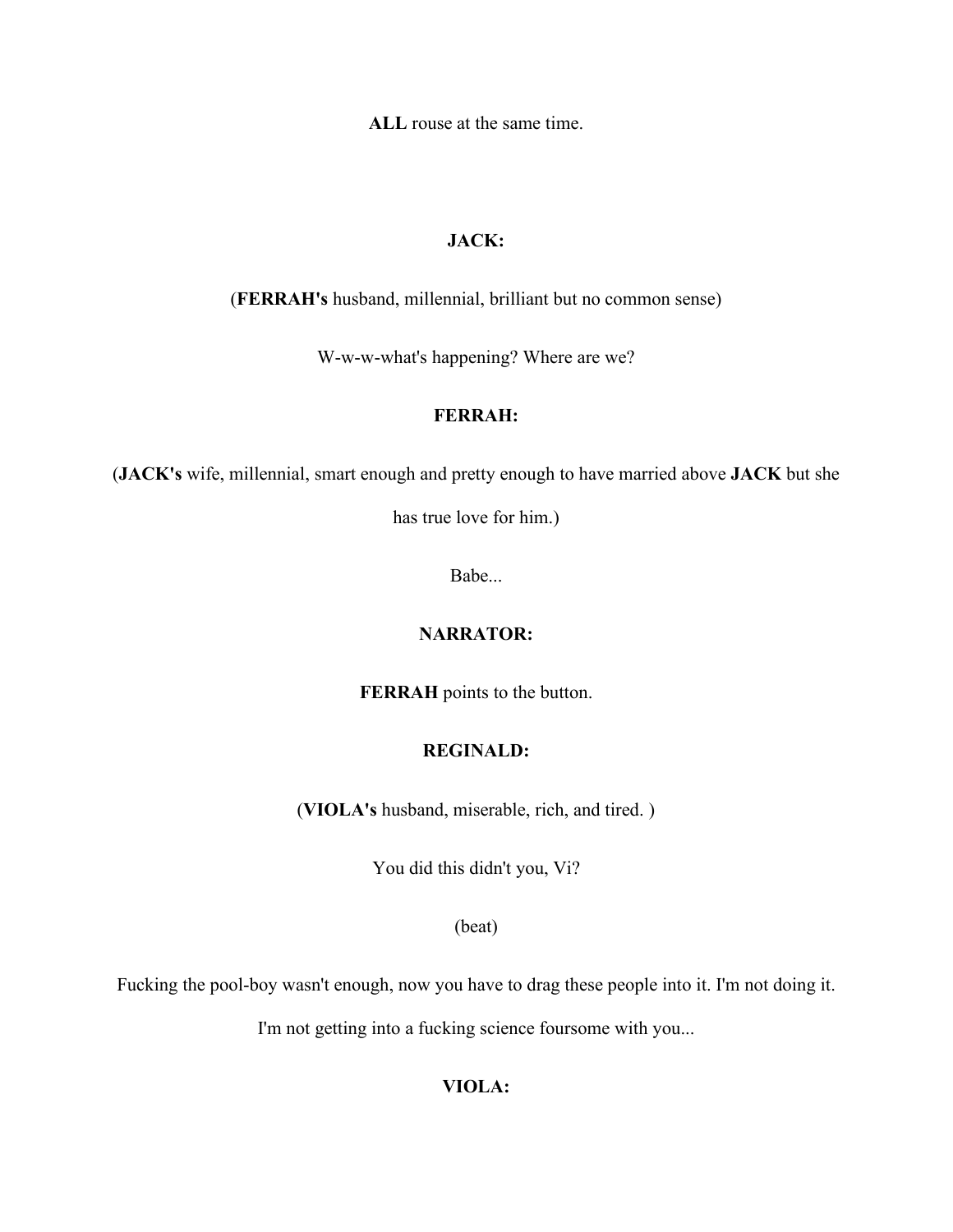**ALL** rouse at the same time.

# **JACK:**

(**FERRAH's** husband, millennial, brilliant but no common sense)

W-w-w-what's happening? Where are we?

#### **FERRAH:**

(**JACK's** wife, millennial, smart enough and pretty enough to have married above **JACK** but she

has true love for him.)

Babe...

# **NARRATOR:**

**FERRAH** points to the button.

# **REGINALD:**

(**VIOLA's** husband, miserable, rich, and tired. )

You did this didn't you, Vi?

(beat)

Fucking the pool-boy wasn't enough, now you have to drag these people into it. I'm not doing it.

I'm not getting into a fucking science foursome with you...

# **VIOLA:**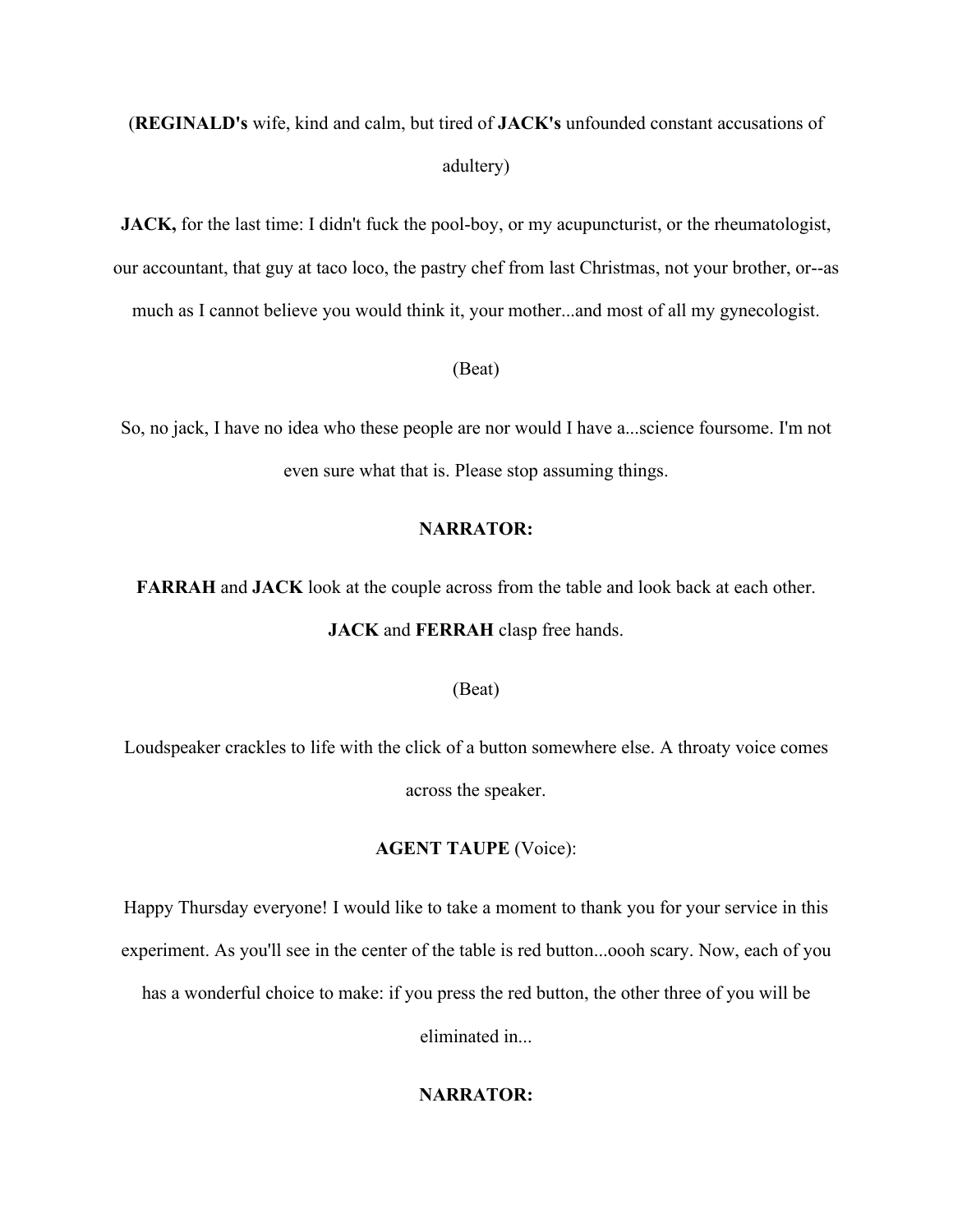# (**REGINALD's** wife, kind and calm, but tired of **JACK's** unfounded constant accusations of adultery)

**JACK,** for the last time: I didn't fuck the pool-boy, or my acupuncturist, or the rheumatologist, our accountant, that guy at taco loco, the pastry chef from last Christmas, not your brother, or--as much as I cannot believe you would think it, your mother...and most of all my gynecologist.

#### (Beat)

So, no jack, I have no idea who these people are nor would I have a...science foursome. I'm not even sure what that is. Please stop assuming things.

#### **NARRATOR:**

**FARRAH** and **JACK** look at the couple across from the table and look back at each other.

#### **JACK** and **FERRAH** clasp free hands.

#### (Beat)

Loudspeaker crackles to life with the click of a button somewhere else. A throaty voice comes across the speaker.

#### **AGENT TAUPE** (Voice):

Happy Thursday everyone! I would like to take a moment to thank you for your service in this experiment. As you'll see in the center of the table is red button...oooh scary. Now, each of you has a wonderful choice to make: if you press the red button, the other three of you will be

eliminated in...

#### **NARRATOR:**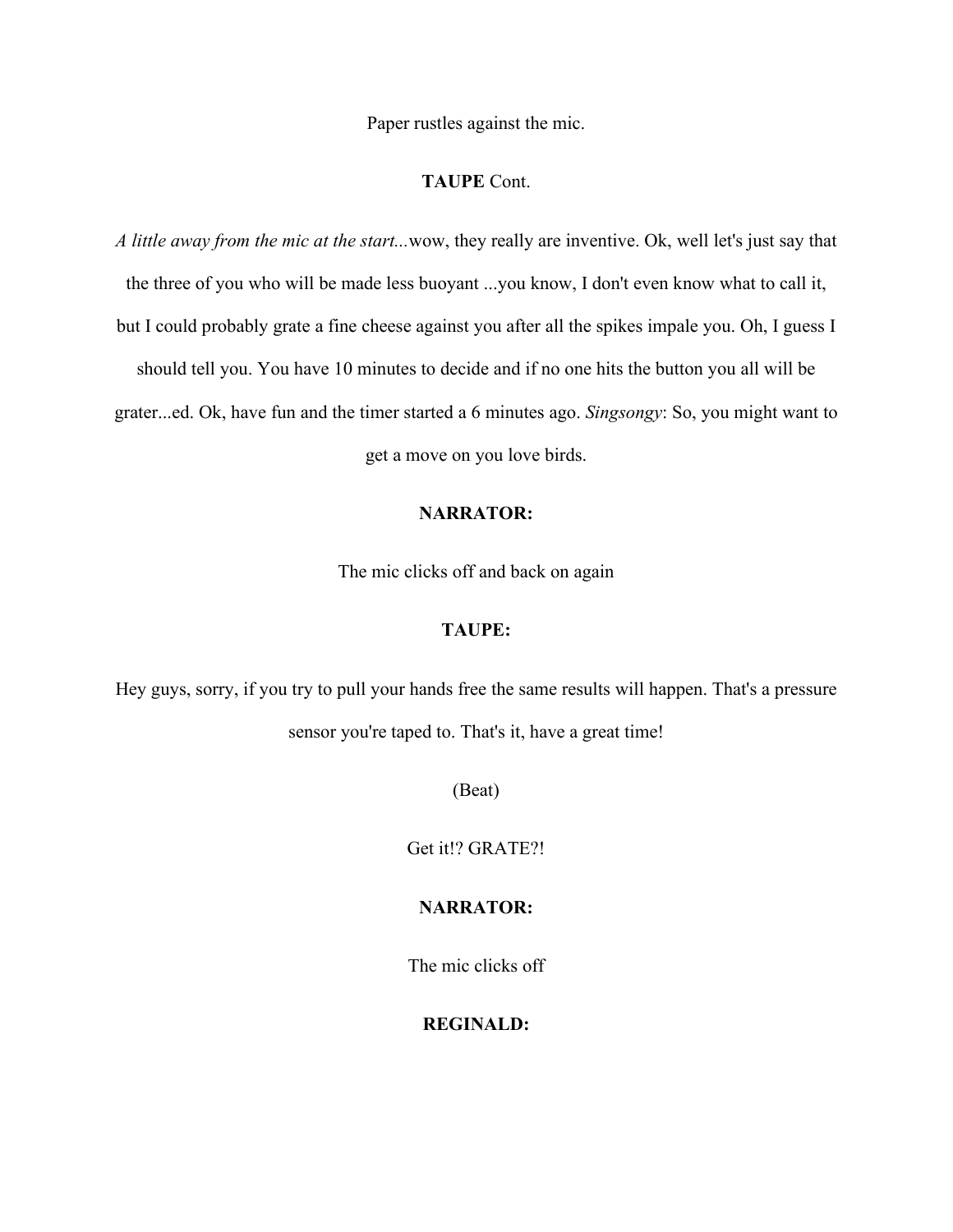Paper rustles against the mic.

#### **TAUPE** Cont.

*A little away from the mic at the start...*wow, they really are inventive. Ok, well let's just say that the three of you who will be made less buoyant ...you know, I don't even know what to call it, but I could probably grate a fine cheese against you after all the spikes impale you. Oh, I guess I should tell you. You have 10 minutes to decide and if no one hits the button you all will be grater...ed. Ok, have fun and the timer started a 6 minutes ago. *Singsongy*: So, you might want to

get a move on you love birds.

# **NARRATOR:**

The mic clicks off and back on again

#### **TAUPE:**

Hey guys, sorry, if you try to pull your hands free the same results will happen. That's a pressure sensor you're taped to. That's it, have a great time!

(Beat)

Get it!? GRATE?!

# **NARRATOR:**

The mic clicks off

#### **REGINALD:**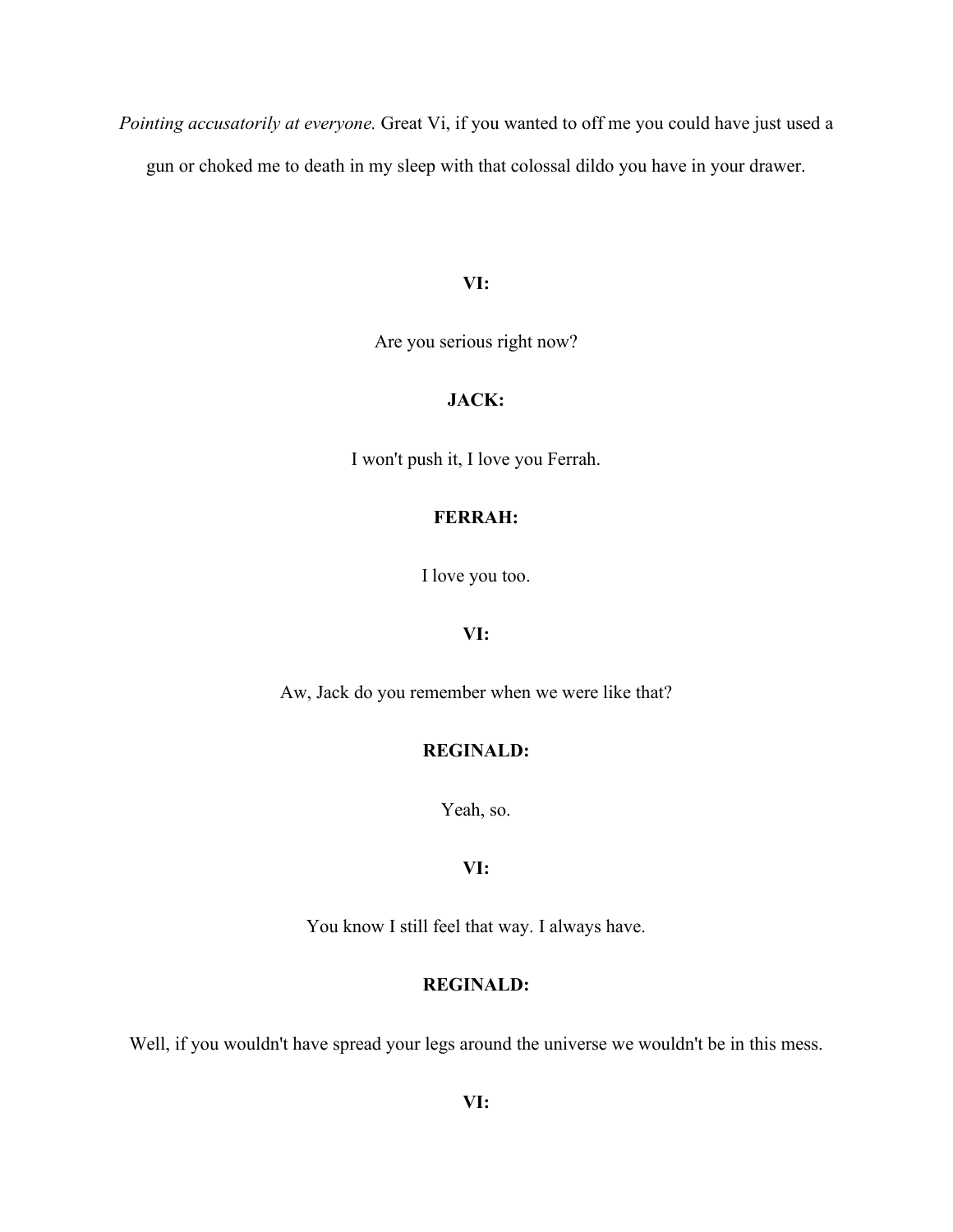*Pointing accusatorily at everyone.* Great Vi, if you wanted to off me you could have just used a gun or choked me to death in my sleep with that colossal dildo you have in your drawer.

#### **VI:**

Are you serious right now?

#### **JACK:**

I won't push it, I love you Ferrah.

# **FERRAH:**

I love you too.

#### **VI:**

Aw, Jack do you remember when we were like that?

# **REGINALD:**

Yeah, so.

#### **VI:**

You know I still feel that way. I always have.

#### **REGINALD:**

Well, if you wouldn't have spread your legs around the universe we wouldn't be in this mess.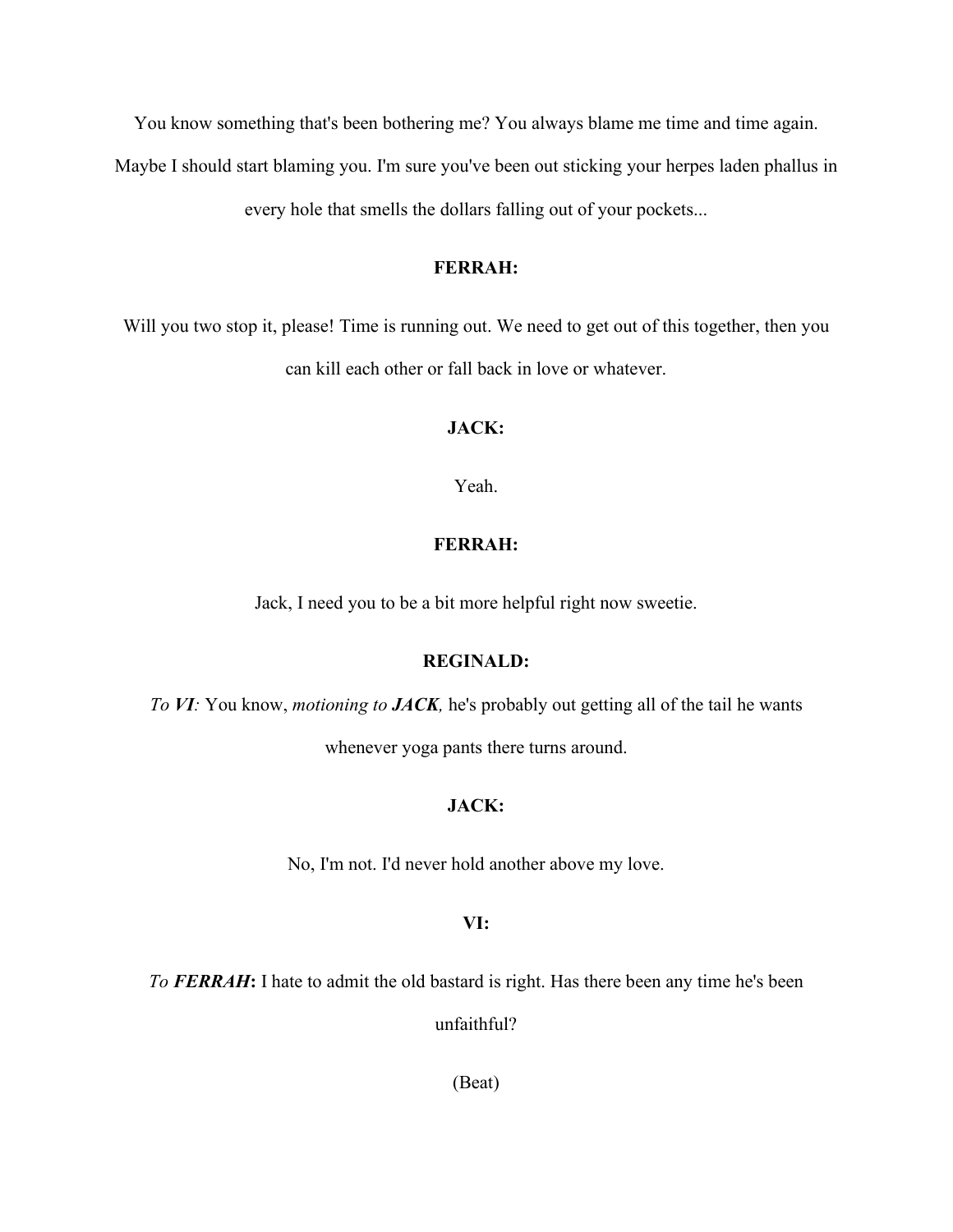You know something that's been bothering me? You always blame me time and time again.

Maybe I should start blaming you. I'm sure you've been out sticking your herpes laden phallus in

every hole that smells the dollars falling out of your pockets...

### **FERRAH:**

Will you two stop it, please! Time is running out. We need to get out of this together, then you can kill each other or fall back in love or whatever.

#### **JACK:**

Yeah.

#### **FERRAH:**

Jack, I need you to be a bit more helpful right now sweetie.

#### **REGINALD:**

*To VI:* You know, *motioning to JACK,* he's probably out getting all of the tail he wants

whenever yoga pants there turns around.

#### **JACK:**

No, I'm not. I'd never hold another above my love.

#### **VI:**

*To FERRAH***:** I hate to admit the old bastard is right. Has there been any time he's been

unfaithful?

(Beat)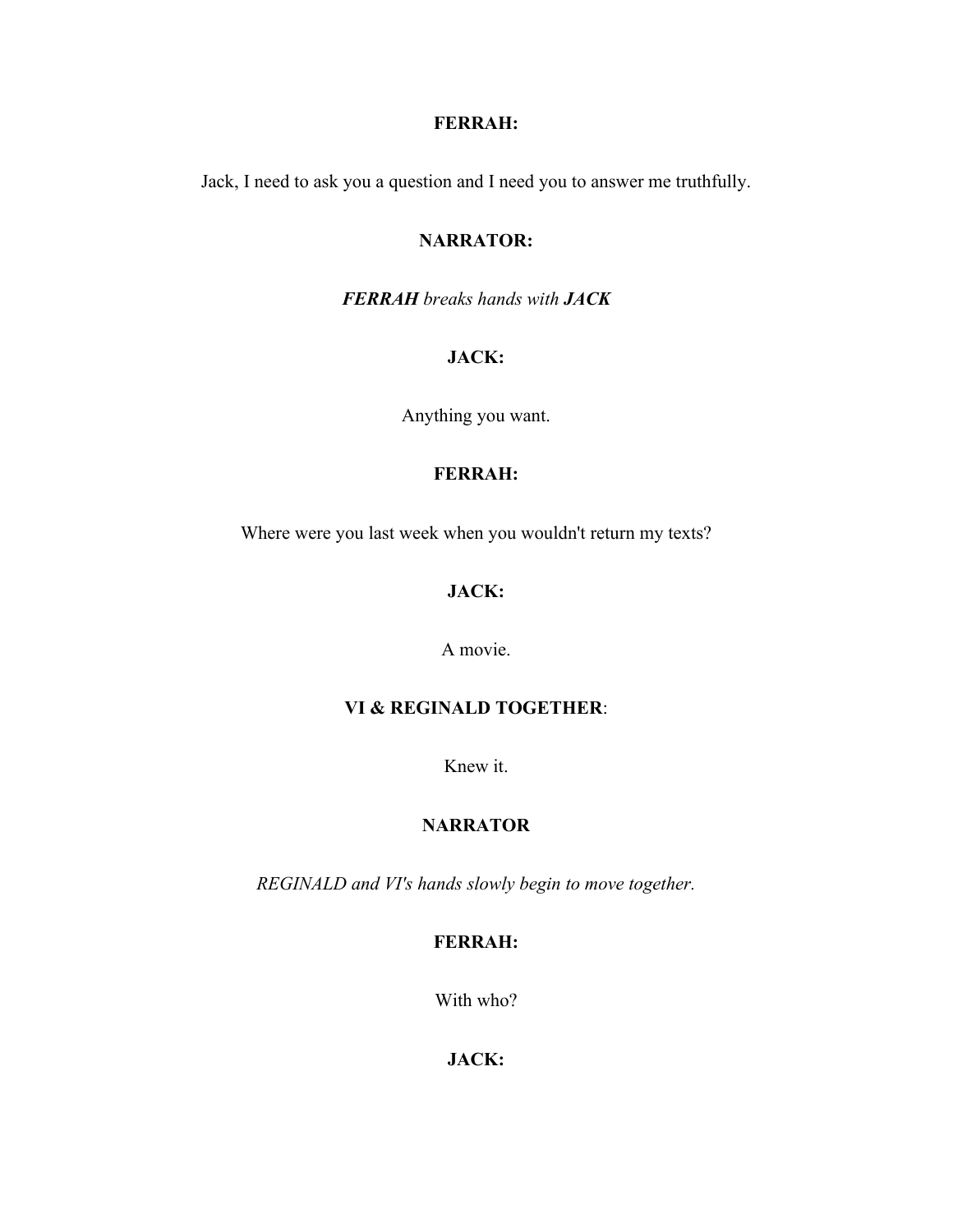# **FERRAH:**

Jack, I need to ask you a question and I need you to answer me truthfully.

#### **NARRATOR:**

*FERRAH breaks hands with JACK*

### **JACK:**

Anything you want.

# **FERRAH:**

Where were you last week when you wouldn't return my texts?

# **JACK:**

#### A movie.

#### **VI & REGINALD TOGETHER**:

Knew it.

# **NARRATOR**

*REGINALD and VI's hands slowly begin to move together.*

# **FERRAH:**

With who?

# **JACK:**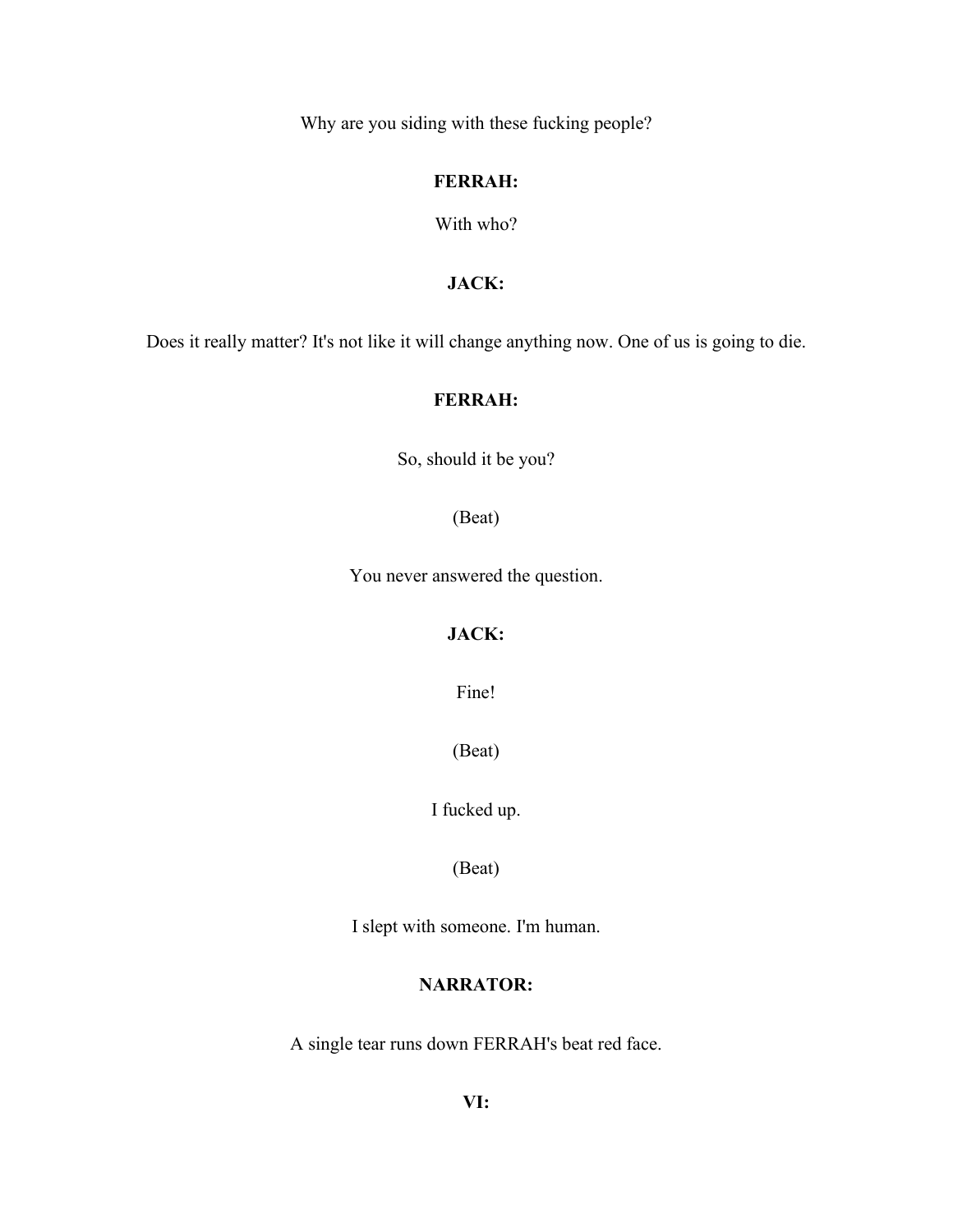Why are you siding with these fucking people?

#### **FERRAH:**

With who?

# **JACK:**

Does it really matter? It's not like it will change anything now. One of us is going to die.

#### **FERRAH:**

So, should it be you?

(Beat)

You never answered the question.

# **JACK:**

Fine!

(Beat)

I fucked up.

(Beat)

I slept with someone. I'm human.

# **NARRATOR:**

A single tear runs down FERRAH's beat red face.

**VI:**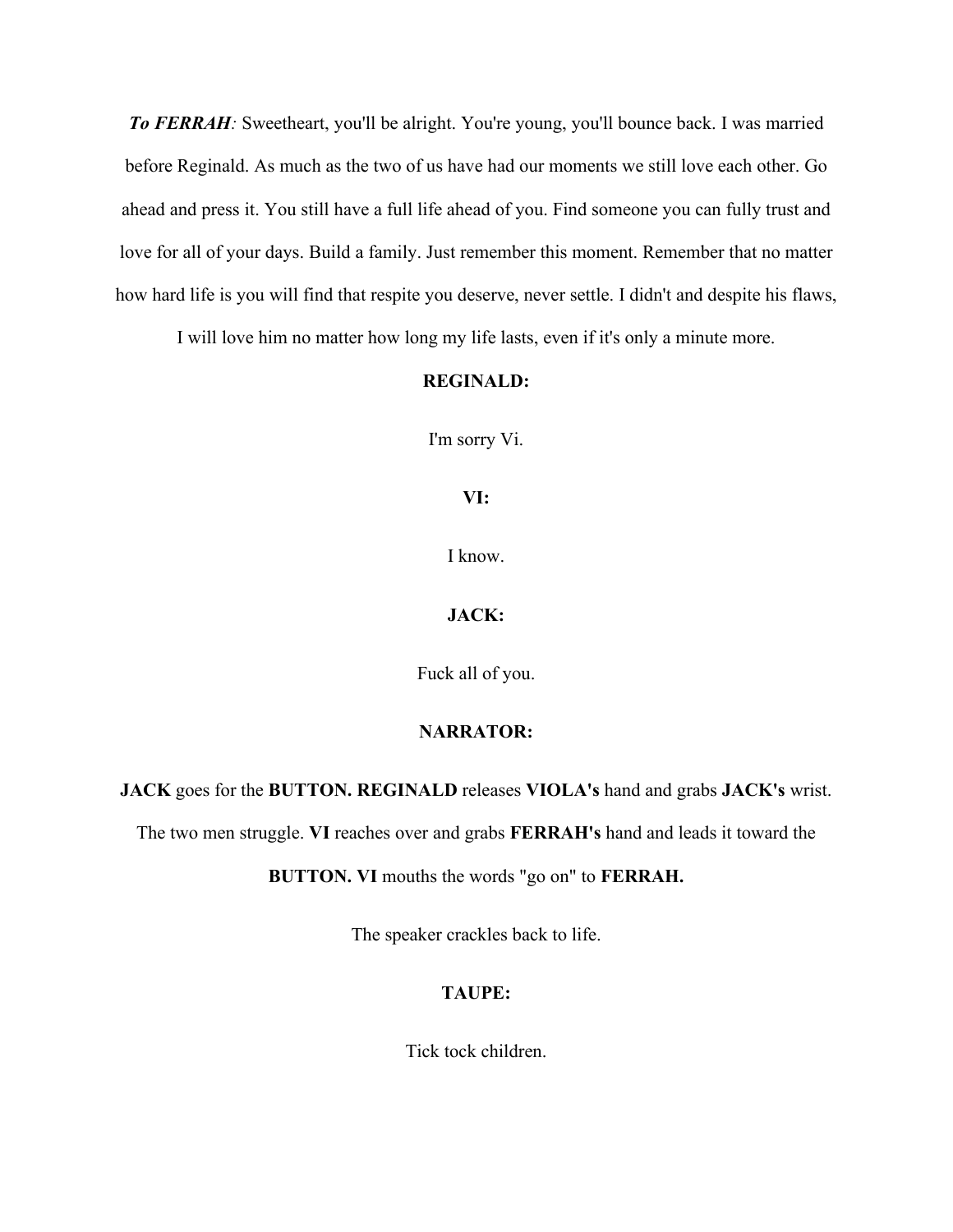*To FERRAH:* Sweetheart, you'll be alright. You're young, you'll bounce back. I was married before Reginald. As much as the two of us have had our moments we still love each other. Go ahead and press it. You still have a full life ahead of you. Find someone you can fully trust and love for all of your days. Build a family. Just remember this moment. Remember that no matter how hard life is you will find that respite you deserve, never settle. I didn't and despite his flaws,

I will love him no matter how long my life lasts, even if it's only a minute more.

#### **REGINALD:**

I'm sorry Vi.

#### **VI:**

I know.

#### **JACK:**

Fuck all of you.

#### **NARRATOR:**

**JACK** goes for the **BUTTON. REGINALD** releases **VIOLA's** hand and grabs **JACK's** wrist.

The two men struggle. **VI** reaches over and grabs **FERRAH's** hand and leads it toward the

**BUTTON. VI** mouths the words "go on" to **FERRAH.**

The speaker crackles back to life.

#### **TAUPE:**

Tick tock children.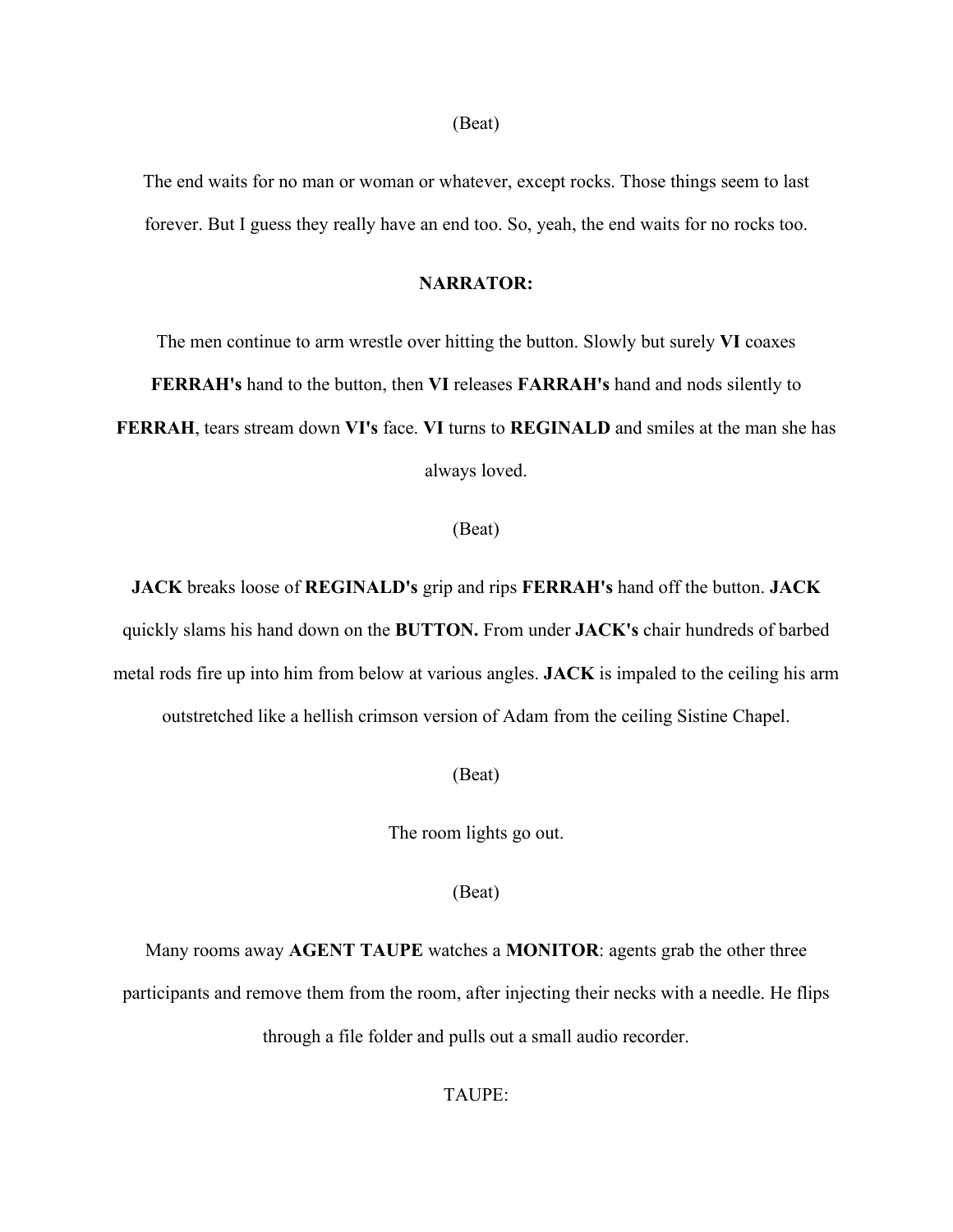#### (Beat)

The end waits for no man or woman or whatever, except rocks. Those things seem to last forever. But I guess they really have an end too. So, yeah, the end waits for no rocks too.

#### **NARRATOR:**

The men continue to arm wrestle over hitting the button. Slowly but surely **VI** coaxes **FERRAH's** hand to the button, then **VI** releases **FARRAH's** hand and nods silently to **FERRAH**, tears stream down **VI's** face. **VI** turns to **REGINALD** and smiles at the man she has always loved.

#### (Beat)

**JACK** breaks loose of **REGINALD's** grip and rips **FERRAH's** hand off the button. **JACK** quickly slams his hand down on the **BUTTON.** From under **JACK's** chair hundreds of barbed metal rods fire up into him from below at various angles. **JACK** is impaled to the ceiling his arm outstretched like a hellish crimson version of Adam from the ceiling Sistine Chapel.

(Beat)

The room lights go out.

(Beat)

Many rooms away **AGENT TAUPE** watches a **MONITOR**: agents grab the other three participants and remove them from the room, after injecting their necks with a needle. He flips through a file folder and pulls out a small audio recorder.

# TAUPE: